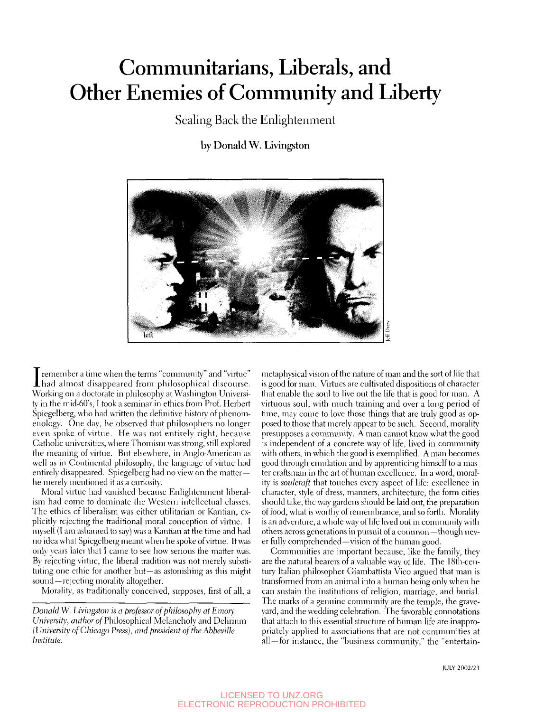## Communitarians, Liberals, and Other Enemies of Community and Liberty

Scaling Back the Enlightenment

### by Donald W. Livingston



I remember a time when the terms "community" and "virtue"<br>had almost disappeared from philosophical discourse. had ahnost disappeared from philosophical discourse. Working on a doctorate in philosophy at Washington Universi*ty* in the mid-60's, I took a seminar in ethics from Prof. Herbert Spiegelberg, who had written the definitive historv of phenomenology. One day, he observed that philosophers no longer even spoke of virtue. He was not entirely right, because Catholic universities, where Thomism was strong, still explored the meaning of virtue. But elsewhere, in Anglo-American as well as in Continental philosophy, the language of virtue had entirely disappeared. Spiegelberg had no view on the matterhe merely mentioned it as a curiosity.

Moral virtue had vanished because Enlightenment liberalism had come to dominate the Western intellectual classes. The ethics of liberalism was either utilitarian or Kantian, explicitly rejecting the traditional moral conception of virtue. I myself (I am ashamed to say) was a Kantian at the time and had no idea what Spiegelberg meant when he spoke of virtue. It was only years later that I came to see how serious the matter was. By rejecting virtue, the liberal tradition was not merely substituting one ethic for another but—as astonishing as this might sound —rejecting morality altogether.

Morality, as tradifionally conceived, supposes, first of all, a

*Donald W. Livingston is a professor of philosophy at Emory*  University, author of Philosophical Melancholy and Delirium *(University of Chicago Press), and president of the Abbeville Institute.* 

metaphysical vision of the nature of man and the sort of life that is good for man. Virtues are culfivated dispositions of character that enable the soul to live out the life that is good for man. A virtuous soul, with much training and over a long period of time, may come to love those things that are truly good as opposed to those that merely appear to be such. Second, morality presupposes a community. A man cannot know what the good is independent of a concrete way of life, lived in community with others, in which the good is exemplified. A man becomes good through emulation and by apprenticing himself to a master craftsman in the art of human excellence. In a word, morality is *soulcraft* that touches every aspect of life: excellence in character, style of dress, manners, architecture, the form cities should take, the way gardens should be laid out, the preparation of food, what is worthy of remembrance, and so forth. Morality is an adventure, a whole way of life lived out in community with others across generations in pursuit of a common—though never fully comprehended—vision of the human good.

Communities are important because, like the family, they are the natural bearers of a valuable way of life. The 18th-century Italian philosopher Giambattista Vico argued that man is transformed from an animal into a human being only when he can sustain the institutions of religion, marriage, and burial. The marks of a genuine community are the temple, the graveyard, and the wedding celebration. The favorable connotations that attach to this essential structure of human life are inappropriately applied to associations that are not communities at all—for instance, the "business community," the "entertain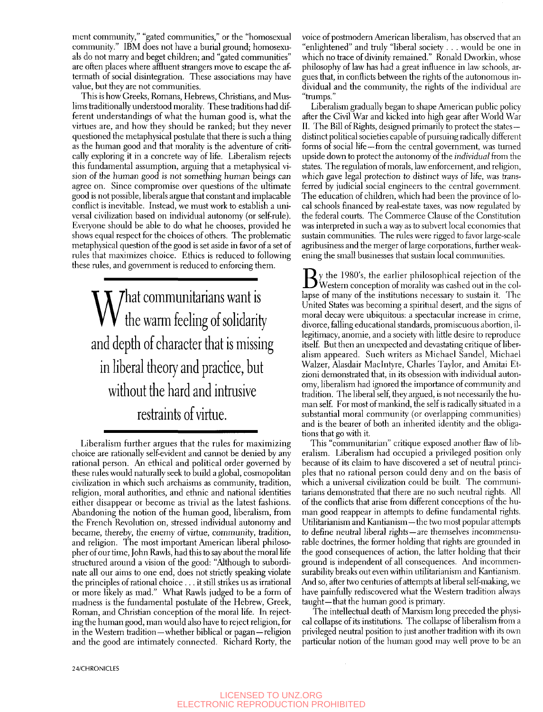ment community," "gated communities," or the "homosexual community." IBM does not have a burial ground; homosexuals do not marry and beget children; and "gated communities" are often places where affluent strangers move to escape the aftermath of social disintegration. These associations may have value, but they are not communities.

This is how Greeks, Romans, Hebrews, Christians, and Muslims traditionally understood morality. These traditions had different understandings of what the human good is, what the virtues are, and how they should be ranked; but they never questioned the metaphysical postulate that there is such a thing as the human good and that morality is the adventure of critically exploring it in a concrete way of life. Liberalism rejects this fundamental assumption, arguing that a metaphysical vision of the human good is not something human beings can agree on. Since compromise over questions of the ultimate good is not possible, liberals argue that constant and implacable conflict is inevitable. Instead, we must work to establish a universal civilization based on individual autonomy (or self-rule). Everyone should be able to do what he chooses, provided he shows equal respect for the choices of others. The problematic metaphysical question of the good is set aside in favor of a set of rules that maximizes choice. Ethics is reduced to following these rules, and government is reduced to enforcing them.

What communitarians want is<br>Wellie warm feeling of solidarity and depth of character that is missing in liberal theory and practice, but without the hard and intrusive restraints of virtue.

Liberalism further argues that the rules for maximizing choice are rationally self-evident and cannot be denied by any rational person. An ethical and political order governed by these rules would naturally seek to build a global, cosmopolitan civilization in which such archaisms as community, tradition, religion, moral authorities, and ethnic and national identities either disappear or become as trivial as the latest fashions. Abandoning the notion of the human good, liberalism, from the French Revolution on, stressed individual autonomy and became, thereby, the enemy of virtue, community, tradition, and religion. The most important American liberal philosopher of our time, John Rawls, had this to say about the moral life structured around a vision of the good: "Although to subordinate all our aims to one end, does not strictly speaking violate the principles of rational choice ... it still strikes us as irrational or more likely as mad." What Rawls judged to be a form of madness is the fundamental postulate of the Hebrew, Greek, Roman, and Christian conception of the moral life. In rejecting the human good, man would also have to reject religion, for in the Western tradition—whether biblical or pagan—religion and the good are intimately connected. Richard Rorty, the

24/CHRONICLES

voice of postmodern American liberalism, has observed that an "enlightened" and truly "liberal society . . . would be one in which no trace of divinity remained." Ronald Dworkin, whose philosophy of law has had a great influence in law schools, argues that, in conflicts between the rights of the autonomous individual and the community, the rights of the individual are "trumps."

Liberalism gradually began to shape American public policy after the Civil War and kicked into high gear after World War II. The Bill of Rights, designed primarily to protect the states distinct political societies capable of pursuing radically different forms of social life-from the central government, was turned upside down to protect the autonomy of the *individual* from the states. The regulation of morals, law enforcement, and religion, which gave legal protection to distinct ways of life, was transferred by judicial social engineers to the central government. The education of children, which had been the province of local schools financed by real-estate taxes, was now regulated by the federal courts. The Commerce Clause of the Constitution was interpreted in such a way as to subvert local economies that sustain communities. The rules were rigged to favor large-scale agribusiness and the merger of large corporations, further weakening the small businesses that sustain local communities.

 $\mathbf{B}$ y the 1980's, the earlier philosophical rejection of the col-<br>Western conception of morality was cashed out in the col-Western conception of morality was cashed out in the collapse of many of the institutions necessary to sustain it. The United States was becoming a spiritual desert, and the signs of moral decay were ubiquitous: a spectacular increase in crime, divorce, falling educational standards, promiscuous abortion, illegitimacy, anomie, and a society with little desire to reproduce itself. But then an unexpected and devastating critique of liberalism appeared. Such writers as Michael Sandel, Michael Walzer, Alasdair Maclntyre, Charles Taylor, and Amitai Etzioni demonstrated that, in its obsession with individual autonomy, liberalism had ignored the importance of community and tradition. The liberal self, they argued, is not necessarily the human self. For most of mankind, the self is radically situated in a substantial moral community (or overlapping communities) and is the bearer of both an inherited identity and the obligations that go with it.

This "communitarian" critique exposed another flaw of liberalism. Liberalism had occupied a privileged position only because of its claim to have discovered a set of neutral principles that no rational person could deny and on the basis of which a universal civilization could be built. The communitarians demonstrated that there are no such neutral rights. All of the conflicts that arise from different conceptions of the human good reappear in attempts to define fundamental rights. Utilitarianism and Kantianism—the two most popular attempts to define neutral liberal rights—are themselves incommensurable doctrines, the former holding that rights are grounded in the good consequences of action, the latter holding that their ground is independent of all consequences. And incommensurability breaks out even within utilitarianism and Kantianism. And so, after two centuries of attempts at liberal self-making, we have painfully rediscovered what the Western tradition always taught—that the human good is primary.

The intellectual death of Marxism long preceded the physical collapse of its institutions. The collapse of liberalism from a privileged neutral position to just another tradition with its own particular notion of the human good may well prove to be an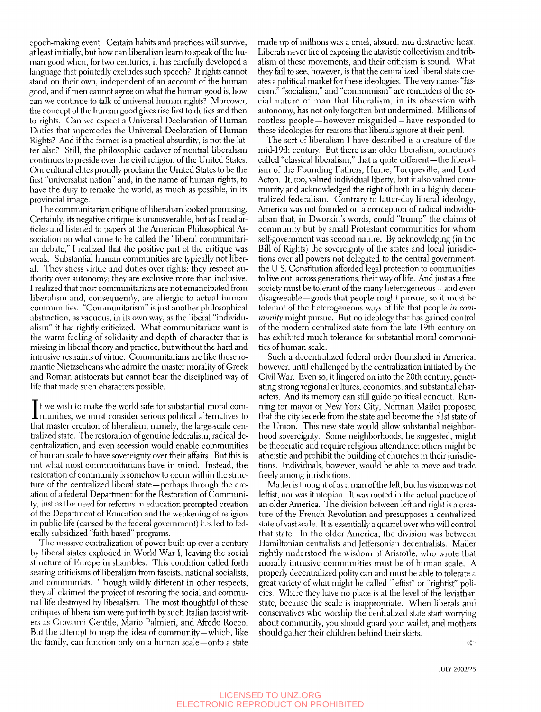epoch-making event. Certain habits and practices will survive, at least initially, but how can liberalism learn to speak of the human good when, for two centuries, it has carefully developed a language that pointedly excludes such speech? If rights cannot stand on their own, independent of an account of the human good, and if men cannot agree on what the human good is, how can we continue to talk of universal human rights? Moreover, the concept of the human good gives rise first to dufies and then to rights. Can we expect a Universal Declaration of Human Duties that supercedes the Universal Declaration of Human Rights? And if the former is a practical absurdity, is not the latter also? Still, the philosophic cadaver of neutral liberalism continues to preside over the civil religion of the United States. Our cultural elites proudly proclaim the United States to be the first "universalist nation" and, in the name of human rights, to have the duty to remake the world, as much as possible, in its provincial image.

The communitarian critique of liberalism looked promising. Certainly, its negative critique is unanswerable, but as I read articles and listened to papers at the American Philosophical Association on what came to be called the "liberal-communitarian debate," I realized that the positive part of the critique was weak. Substantial human communities are typically not liberal. They stress virtue and duties over rights; they respect authority over autonomy; they are exclusive more than inclusive. I realized that most communitarians are not emancipated from liberalism and, consequently, are allergic to actual human communities. "Communitarism" is just another philosophical abstraction, as vacuous, in its own way, as the liberal "individualism" it has rightly criticized. What communitarians want is the warm feeling of solidarity and depth of character that is missing in liberal theory and practice, but without the hard and intrusive restraints of virtue. Communitarians are like those romantic Nietzscheans who admire the master morality of Greek and Roman aristocrats but cannot bear the disciplined way of life that made such characters possible.

If we wish to make the world safe for substantial moral communities, we must consider serious political alternatives to f we wish to make the world safe for substantial moral comthat master creation of liberalism, namely, the large-scale centralized state. The restoration of genuine federalism, radical decentralization, and even secession would enable communities of human scale to have sovereignty over their affairs. But this is not what most communitarians have in mind. Instead, the restoration of community is somehow to occur within the structure of the centralized liberal state—perhaps through the creation of a federal Department for the Restoration of Community, just as the need for reforms in education prompted creation of the Department of Education and the weakening of religion in public life (caused by the federal government) has led to federally subsidized "faith-based" programs.

The massive centralization of power built up over a century by liberal states exploded in World War I, leaving the social structure of Europe in shambles. This condition called forth searing criticisms of liberalism from fascists, national socialists, and communists. Though wildly different in other respects, they all claimed the project of restoring the social and communal life destroyed by liberalism. The most thoughtful of these critiques of liberalism were put forth by such Italian fascist writers as Giovanni Gentile, Mario Palmieri, and Afredo Rocco. But the attempt to map the idea of community—which, like the family, can fimction only on a human scale—onto a state

made up of millions was a cruel, absurd, and destructive hoax. Liberals never tire of exposing the atavistic collectivism and tiibalism of these movements, and their criticism is sound. What they fail to see, however, is that the centralized liberal state creates a political market for these ideologies. The very names "fascism," "socialism," and "communism" are reminders of the social nature of man that liberalism, in its obsession with autonomy, has not only forgotten but undermined. Millions of rootless people — however misguided — have responded to these ideologies for reasons that liberals ignore at their peril.

The sort of liberalism I have described is a creature of the mid-19th century. But there is an older liberalism, sometimes called "classical liberalism," that is quite different-the liberalism of the Founding Fathers, Hume, Tocqueville, and Lord Acton. It, too, valued individual liberty, but it also valued community and acknowledged the right of both in a highly decentralized federalism. Contrary to latter-day liberal ideology, America was not founded on a conception of radical individualism that, in Dworkin's words, could "trump" the claims of community but by small Protestant communities for whom self-government was second nature. By acknowledging (in the Bill of Rights) the sovereignty of the states and local jurisdictions over all powers not delegated to the central government, the U.S. Constitution afforded legal protection to communities to live out, across generations, their way of life. And just as a free society must be tolerant of the many heterogeneous—and even disagreeable—goods that people might pursue, so it must be tolerant of the heterogeneous ways of life that people *in community* might pursue. But no ideology that has gained control of the modern centralized state from the late I9th century on has exhibited much tolerance for substantial moral communities of human scale.

Such a decentralized federal order flourished in America, however, until challenged by the centralization initiated by the Civil War. Even so, it lingered on into the 20th century, generating strong regional cultures, economies, and substantial characters. And its memory can still guide political conduct. Running for mayor of New York City, Norman Mailer proposed that the city secede from the state and become the 51st state of the Union. This new state would allow substantial neighborhood sovereignty. Some neighborhoods, he suggested, might be theocratic and require religious attendance; others might be atheistic and prohibit the building of churches in their jurisdictions. Individuals, however, would be able to move and trade freely among jurisdictions.

Mailer is thought of as a man of the left, but his vision was not leftist, nor was it utopian. It was rooted in the actual practice of an older America. The division between left and right is a creature of the French Revolution and presupposes a centralized state of vast scale. It is essentially a quarrel over who will control that state. In the older America, the division was between Hamiltonian centralists and Jeffersonian decentralists. Mailer rightly understood the wisdom of Aristotle, who wrote that morally intrusive communities must be of human scale. A properly decentralized polity can and must be able to tolerate a great variety of what might be called "leftist" or "rightist" policies. Where they have no place is at the level of the leviathan state, because the scale is inappropriate. When liberals and conservatives who worship the centralized state start worrying about community, you should guard your wallet, and mothers should gather their children behind their skirts.

 $\langle \hat{c} \rangle$